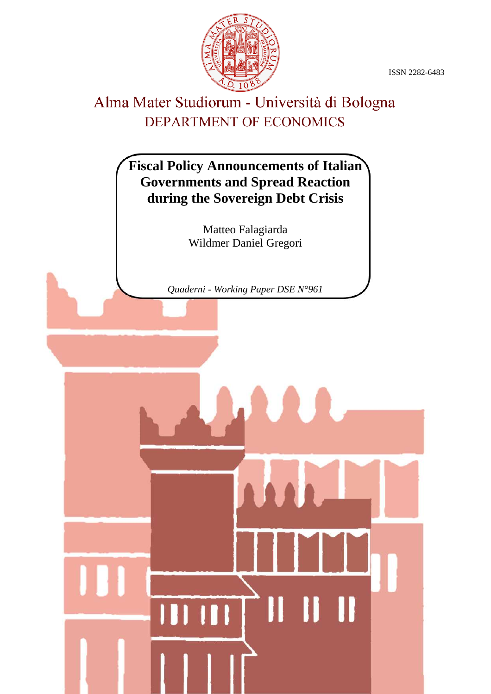ISSN 2282-6483



## Alma Mater Studiorum - Università di Bologna DEPARTMENT OF ECONOMICS

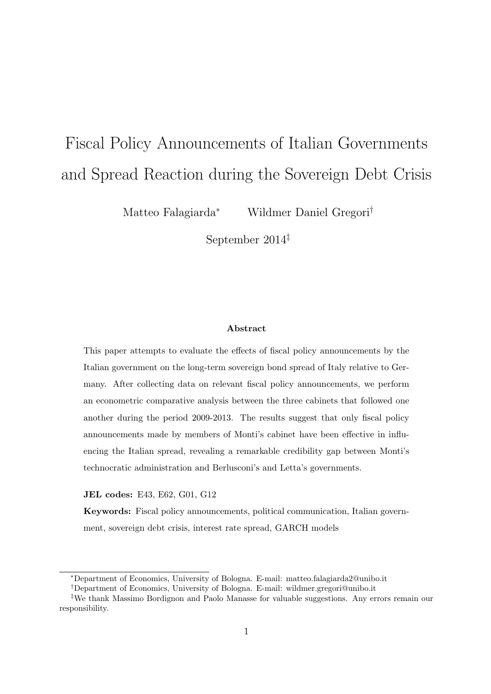# Fiscal Policy Announcements of Italian Governments and Spread Reaction during the Sovereign Debt Crisis

Matteo Falagiarda<sup>∗</sup> Wildmer Daniel Gregori†

September 2014‡

#### Abstract

This paper attempts to evaluate the effects of fiscal policy announcements by the Italian government on the long-term sovereign bond spread of Italy relative to Germany. After collecting data on relevant fiscal policy announcements, we perform an econometric comparative analysis between the three cabinets that followed one another during the period 2009-2013. The results suggest that only fiscal policy announcements made by members of Monti's cabinet have been effective in influencing the Italian spread, revealing a remarkable credibility gap between Monti's technocratic administration and Berlusconi's and Letta's governments.

JEL codes: E43, E62, G01, G12

Keywords: Fiscal policy announcements, political communication, Italian government, sovereign debt crisis, interest rate spread, GARCH models

<sup>∗</sup>Department of Economics, University of Bologna. E-mail: matteo.falagiarda2@unibo.it

<sup>†</sup>Department of Economics, University of Bologna. E-mail: wildmer.gregori@unibo.it

<sup>‡</sup>We thank Massimo Bordignon and Paolo Manasse for valuable suggestions. Any errors remain our responsibility.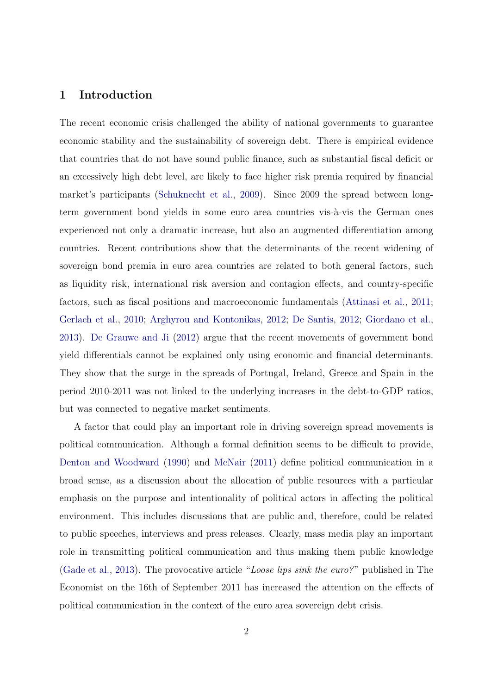### 1 Introduction

The recent economic crisis challenged the ability of national governments to guarantee economic stability and the sustainability of sovereign debt. There is empirical evidence that countries that do not have sound public finance, such as substantial fiscal deficit or an excessively high debt level, are likely to face higher risk premia required by financial market's participants [\(Schuknecht et al.,](#page-14-0) [2009\)](#page-14-0). Since 2009 the spread between longterm government bond yields in some euro area countries vis-à-vis the German ones experienced not only a dramatic increase, but also an augmented differentiation among countries. Recent contributions show that the determinants of the recent widening of sovereign bond premia in euro area countries are related to both general factors, such as liquidity risk, international risk aversion and contagion effects, and country-specific factors, such as fiscal positions and macroeconomic fundamentals [\(Attinasi et al.,](#page-13-0) [2011;](#page-13-0) [Gerlach et al.,](#page-14-1) [2010;](#page-14-1) [Arghyrou and Kontonikas,](#page-13-1) [2012;](#page-13-1) [De Santis,](#page-13-2) [2012;](#page-13-2) [Giordano et al.,](#page-14-2) [2013\)](#page-14-2). [De Grauwe and Ji](#page-13-3) [\(2012\)](#page-13-3) argue that the recent movements of government bond yield differentials cannot be explained only using economic and financial determinants. They show that the surge in the spreads of Portugal, Ireland, Greece and Spain in the period 2010-2011 was not linked to the underlying increases in the debt-to-GDP ratios, but was connected to negative market sentiments.

A factor that could play an important role in driving sovereign spread movements is political communication. Although a formal definition seems to be difficult to provide, [Denton and Woodward](#page-13-4) [\(1990\)](#page-13-4) and [McNair](#page-14-3) [\(2011\)](#page-14-3) define political communication in a broad sense, as a discussion about the allocation of public resources with a particular emphasis on the purpose and intentionality of political actors in affecting the political environment. This includes discussions that are public and, therefore, could be related to public speeches, interviews and press releases. Clearly, mass media play an important role in transmitting political communication and thus making them public knowledge [\(Gade et al.,](#page-14-4) [2013\)](#page-14-4). The provocative article "Loose lips sink the euro?" published in The Economist on the 16th of September 2011 has increased the attention on the effects of political communication in the context of the euro area sovereign debt crisis.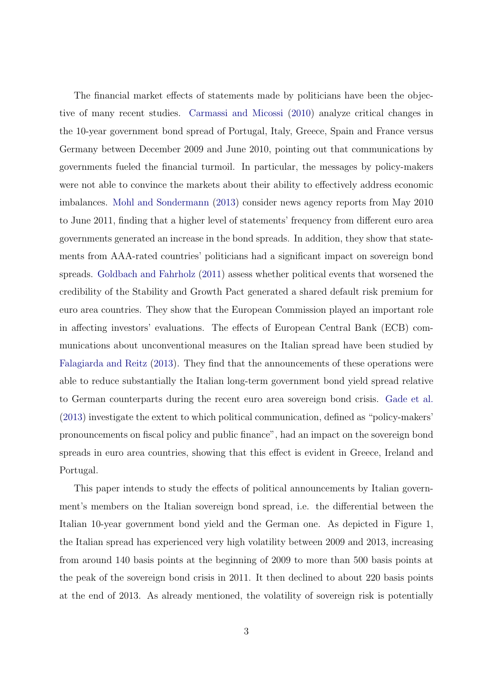The financial market effects of statements made by politicians have been the objective of many recent studies. [Carmassi and Micossi](#page-13-5) [\(2010\)](#page-13-5) analyze critical changes in the 10-year government bond spread of Portugal, Italy, Greece, Spain and France versus Germany between December 2009 and June 2010, pointing out that communications by governments fueled the financial turmoil. In particular, the messages by policy-makers were not able to convince the markets about their ability to effectively address economic imbalances. [Mohl and Sondermann](#page-14-5) [\(2013\)](#page-14-5) consider news agency reports from May 2010 to June 2011, finding that a higher level of statements' frequency from different euro area governments generated an increase in the bond spreads. In addition, they show that statements from AAA-rated countries' politicians had a significant impact on sovereign bond spreads. [Goldbach and Fahrholz](#page-14-6) [\(2011\)](#page-14-6) assess whether political events that worsened the credibility of the Stability and Growth Pact generated a shared default risk premium for euro area countries. They show that the European Commission played an important role in affecting investors' evaluations. The effects of European Central Bank (ECB) communications about unconventional measures on the Italian spread have been studied by [Falagiarda and Reitz](#page-13-6) [\(2013\)](#page-13-6). They find that the announcements of these operations were able to reduce substantially the Italian long-term government bond yield spread relative to German counterparts during the recent euro area sovereign bond crisis. [Gade et al.](#page-14-4) [\(2013\)](#page-14-4) investigate the extent to which political communication, defined as "policy-makers' pronouncements on fiscal policy and public finance", had an impact on the sovereign bond spreads in euro area countries, showing that this effect is evident in Greece, Ireland and Portugal.

This paper intends to study the effects of political announcements by Italian government's members on the Italian sovereign bond spread, i.e. the differential between the Italian 10-year government bond yield and the German one. As depicted in Figure [1,](#page-15-0) the Italian spread has experienced very high volatility between 2009 and 2013, increasing from around 140 basis points at the beginning of 2009 to more than 500 basis points at the peak of the sovereign bond crisis in 2011. It then declined to about 220 basis points at the end of 2013. As already mentioned, the volatility of sovereign risk is potentially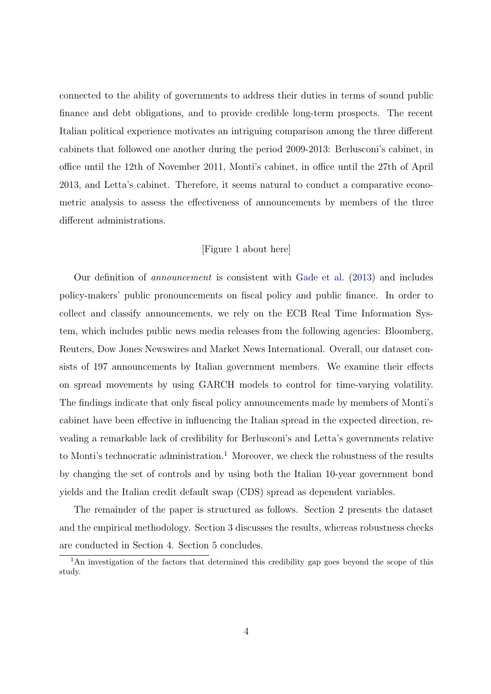connected to the ability of governments to address their duties in terms of sound public finance and debt obligations, and to provide credible long-term prospects. The recent Italian political experience motivates an intriguing comparison among the three different cabinets that followed one another during the period 2009-2013: Berlusconi's cabinet, in office until the 12th of November 2011, Monti's cabinet, in office until the 27th of April 2013, and Letta's cabinet. Therefore, it seems natural to conduct a comparative econometric analysis to assess the effectiveness of announcements by members of the three different administrations.

#### [Figure [1](#page-15-0) about here]

Our definition of announcement is consistent with [Gade et al.](#page-14-4) [\(2013\)](#page-14-4) and includes policy-makers' public pronouncements on fiscal policy and public finance. In order to collect and classify announcements, we rely on the ECB Real Time Information System, which includes public news media releases from the following agencies: Bloomberg, Reuters, Dow Jones Newswires and Market News International. Overall, our dataset consists of 197 announcements by Italian government members. We examine their effects on spread movements by using GARCH models to control for time-varying volatility. The findings indicate that only fiscal policy announcements made by members of Monti's cabinet have been effective in influencing the Italian spread in the expected direction, revealing a remarkable lack of credibility for Berlusconi's and Letta's governments relative to Monti's technocratic administration.<sup>1</sup> Moreover, we check the robustness of the results by changing the set of controls and by using both the Italian 10-year government bond yields and the Italian credit default swap (CDS) spread as dependent variables.

The remainder of the paper is structured as follows. Section 2 presents the dataset and the empirical methodology. Section 3 discusses the results, whereas robustness checks are conducted in Section 4. Section 5 concludes.

<sup>&</sup>lt;sup>1</sup>An investigation of the factors that determined this credibility gap goes beyond the scope of this study.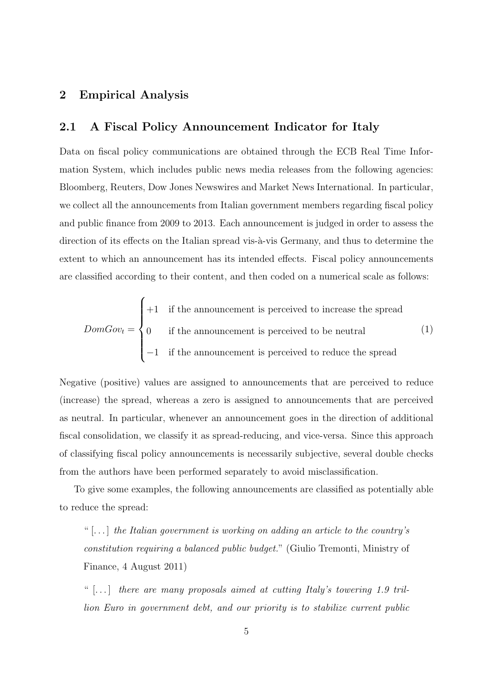#### 2 Empirical Analysis

#### 2.1 A Fiscal Policy Announcement Indicator for Italy

Data on fiscal policy communications are obtained through the ECB Real Time Information System, which includes public news media releases from the following agencies: Bloomberg, Reuters, Dow Jones Newswires and Market News International. In particular, we collect all the announcements from Italian government members regarding fiscal policy and public finance from 2009 to 2013. Each announcement is judged in order to assess the direction of its effects on the Italian spread vis- $\grave{a}$ -vis Germany, and thus to determine the extent to which an announcement has its intended effects. Fiscal policy announcements are classified according to their content, and then coded on a numerical scale as follows:

$$
DomGov_t = \begin{cases} +1 & \text{if the announcement is perceived to increase the spread} \\ 0 & \text{if the announcement is perceived to be neutral} \\ -1 & \text{if the announcement is perceived to reduce the spread} \end{cases}
$$
 (1)

Negative (positive) values are assigned to announcements that are perceived to reduce (increase) the spread, whereas a zero is assigned to announcements that are perceived as neutral. In particular, whenever an announcement goes in the direction of additional fiscal consolidation, we classify it as spread-reducing, and vice-versa. Since this approach of classifying fiscal policy announcements is necessarily subjective, several double checks from the authors have been performed separately to avoid misclassification.

To give some examples, the following announcements are classified as potentially able to reduce the spread:

"  $\left[ \ldots \right]$  the Italian government is working on adding an article to the country's constitution requiring a balanced public budget." (Giulio Tremonti, Ministry of Finance, 4 August 2011)

"  $[...]$  there are many proposals aimed at cutting Italy's towering 1.9 trillion Euro in government debt, and our priority is to stabilize current public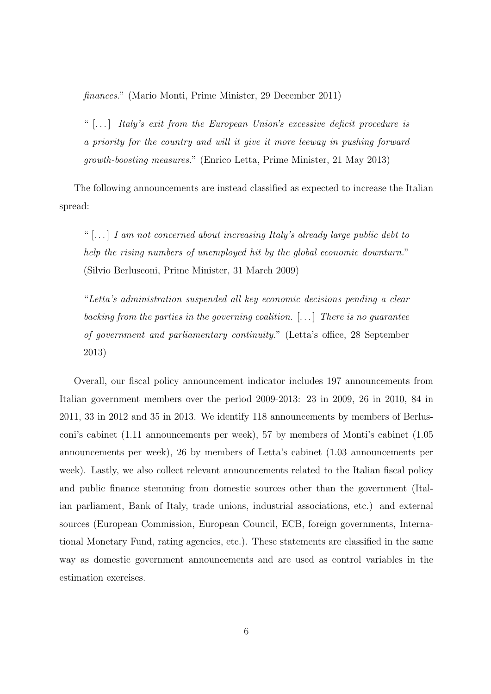finances." (Mario Monti, Prime Minister, 29 December 2011)

"  $[...]$  Italy's exit from the European Union's excessive deficit procedure is a priority for the country and will it give it more leeway in pushing forward growth-boosting measures." (Enrico Letta, Prime Minister, 21 May 2013)

The following announcements are instead classified as expected to increase the Italian spread:

"  $[...]$  I am not concerned about increasing Italy's already large public debt to help the rising numbers of unemployed hit by the global economic downturn." (Silvio Berlusconi, Prime Minister, 31 March 2009)

"Letta's administration suspended all key economic decisions pending a clear backing from the parties in the governing coalition.  $[\ldots]$  There is no guarantee of government and parliamentary continuity." (Letta's office, 28 September 2013)

Overall, our fiscal policy announcement indicator includes 197 announcements from Italian government members over the period 2009-2013: 23 in 2009, 26 in 2010, 84 in 2011, 33 in 2012 and 35 in 2013. We identify 118 announcements by members of Berlusconi's cabinet (1.11 announcements per week), 57 by members of Monti's cabinet (1.05 announcements per week), 26 by members of Letta's cabinet (1.03 announcements per week). Lastly, we also collect relevant announcements related to the Italian fiscal policy and public finance stemming from domestic sources other than the government (Italian parliament, Bank of Italy, trade unions, industrial associations, etc.) and external sources (European Commission, European Council, ECB, foreign governments, International Monetary Fund, rating agencies, etc.). These statements are classified in the same way as domestic government announcements and are used as control variables in the estimation exercises.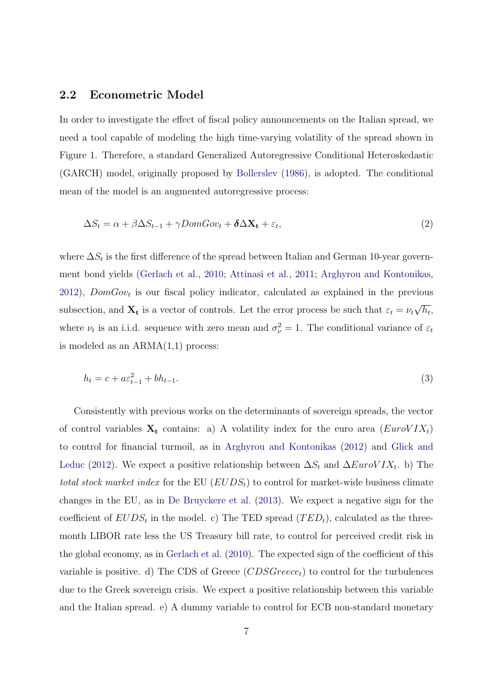#### 2.2 Econometric Model

In order to investigate the effect of fiscal policy announcements on the Italian spread, we need a tool capable of modeling the high time-varying volatility of the spread shown in Figure [1.](#page-15-0) Therefore, a standard Generalized Autoregressive Conditional Heteroskedastic (GARCH) model, originally proposed by [Bollerslev](#page-13-7) [\(1986\)](#page-13-7), is adopted. The conditional mean of the model is an augmented autoregressive process:

<span id="page-7-0"></span>
$$
\Delta S_t = \alpha + \beta \Delta S_{t-1} + \gamma Dom Gov_t + \delta \Delta \mathbf{X_t} + \varepsilon_t, \tag{2}
$$

where  $\Delta S_t$  is the first difference of the spread between Italian and German 10-year government bond yields [\(Gerlach et al.,](#page-14-1) [2010;](#page-14-1) [Attinasi et al.,](#page-13-0) [2011;](#page-13-0) [Arghyrou and Kontonikas,](#page-13-1)  $2012$ ),  $DomGov_t$  is our fiscal policy indicator, calculated as explained in the previous subsection, and  $X_t$  is a vector of controls. Let the error process be such that  $\varepsilon_t = \nu_t$ √  $\overline{h_{t}},$ where  $\nu_t$  is an i.i.d. sequence with zero mean and  $\sigma_{\nu}^2 = 1$ . The conditional variance of  $\varepsilon_t$ is modeled as an  $ARMA(1,1)$  process:

<span id="page-7-1"></span>
$$
h_t = c + a\varepsilon_{t-1}^2 + bh_{t-1}.\tag{3}
$$

Consistently with previous works on the determinants of sovereign spreads, the vector of control variables  $X_t$  contains: a) A volatility index for the euro area  $(EurolIX_t)$ to control for financial turmoil, as in [Arghyrou and Kontonikas](#page-13-1) [\(2012\)](#page-13-1) and [Glick and](#page-14-7) [Leduc](#page-14-7) [\(2012\)](#page-14-7). We expect a positive relationship between  $\Delta S_t$  and  $\Delta EuroVIX_t$ . b) The total stock market index for the EU  $(EUDS<sub>t</sub>)$  to control for market-wide business climate changes in the EU, as in [De Bruyckere et al.](#page-13-8) [\(2013\)](#page-13-8). We expect a negative sign for the coefficient of  $EUDS_t$  in the model. c) The TED spread  $(TED_t)$ , calculated as the threemonth LIBOR rate less the US Treasury bill rate, to control for perceived credit risk in the global economy, as in [Gerlach et al.](#page-14-1) [\(2010\)](#page-14-1). The expected sign of the coefficient of this variable is positive. d) The CDS of Greece  $(CDSGreeze_t)$  to control for the turbulences due to the Greek sovereign crisis. We expect a positive relationship between this variable and the Italian spread. e) A dummy variable to control for ECB non-standard monetary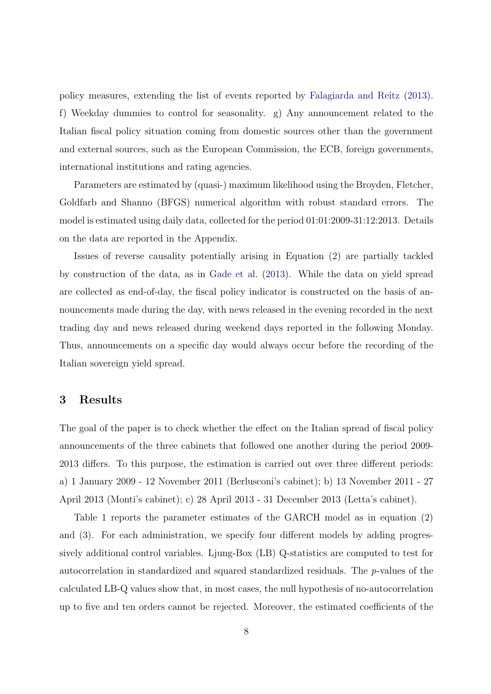policy measures, extending the list of events reported by [Falagiarda and Reitz](#page-13-6) [\(2013\)](#page-13-6). f) Weekday dummies to control for seasonality. g) Any announcement related to the Italian fiscal policy situation coming from domestic sources other than the government and external sources, such as the European Commission, the ECB, foreign governments, international institutions and rating agencies.

Parameters are estimated by (quasi-) maximum likelihood using the Broyden, Fletcher, Goldfarb and Shanno (BFGS) numerical algorithm with robust standard errors. The model is estimated using daily data, collected for the period 01:01:2009-31:12:2013. Details on the data are reported in the Appendix.

Issues of reverse causality potentially arising in Equation (2) are partially tackled by construction of the data, as in [Gade et al.](#page-14-4) [\(2013\)](#page-14-4). While the data on yield spread are collected as end-of-day, the fiscal policy indicator is constructed on the basis of announcements made during the day, with news released in the evening recorded in the next trading day and news released during weekend days reported in the following Monday. Thus, announcements on a specific day would always occur before the recording of the Italian sovereign yield spread.

#### 3 Results

The goal of the paper is to check whether the effect on the Italian spread of fiscal policy announcements of the three cabinets that followed one another during the period 2009- 2013 differs. To this purpose, the estimation is carried out over three different periods: a) 1 January 2009 - 12 November 2011 (Berlusconi's cabinet); b) 13 November 2011 - 27 April 2013 (Monti's cabinet); c) 28 April 2013 - 31 December 2013 (Letta's cabinet).

Table 1 reports the parameter estimates of the GARCH model as in equation [\(2\)](#page-7-0) and [\(3\)](#page-7-1). For each administration, we specify four different models by adding progressively additional control variables. Ljung-Box (LB) Q-statistics are computed to test for autocorrelation in standardized and squared standardized residuals. The p-values of the calculated LB-Q values show that, in most cases, the null hypothesis of no-autocorrelation up to five and ten orders cannot be rejected. Moreover, the estimated coefficients of the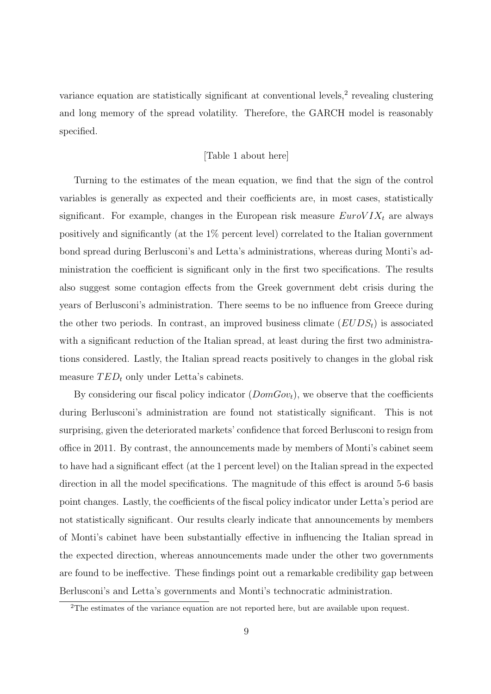variance equation are statistically significant at conventional levels,<sup>2</sup> revealing clustering and long memory of the spread volatility. Therefore, the GARCH model is reasonably specified.

#### [Table 1 about here]

Turning to the estimates of the mean equation, we find that the sign of the control variables is generally as expected and their coefficients are, in most cases, statistically significant. For example, changes in the European risk measure  $EuroVIX<sub>t</sub>$  are always positively and significantly (at the 1% percent level) correlated to the Italian government bond spread during Berlusconi's and Letta's administrations, whereas during Monti's administration the coefficient is significant only in the first two specifications. The results also suggest some contagion effects from the Greek government debt crisis during the years of Berlusconi's administration. There seems to be no influence from Greece during the other two periods. In contrast, an improved business climate  $(EUDS<sub>t</sub>)$  is associated with a significant reduction of the Italian spread, at least during the first two administrations considered. Lastly, the Italian spread reacts positively to changes in the global risk measure  $TED_t$  only under Letta's cabinets.

By considering our fiscal policy indicator  $(DomGov_t)$ , we observe that the coefficients during Berlusconi's administration are found not statistically significant. This is not surprising, given the deteriorated markets' confidence that forced Berlusconi to resign from office in 2011. By contrast, the announcements made by members of Monti's cabinet seem to have had a significant effect (at the 1 percent level) on the Italian spread in the expected direction in all the model specifications. The magnitude of this effect is around 5-6 basis point changes. Lastly, the coefficients of the fiscal policy indicator under Letta's period are not statistically significant. Our results clearly indicate that announcements by members of Monti's cabinet have been substantially effective in influencing the Italian spread in the expected direction, whereas announcements made under the other two governments are found to be ineffective. These findings point out a remarkable credibility gap between Berlusconi's and Letta's governments and Monti's technocratic administration.

<sup>2</sup>The estimates of the variance equation are not reported here, but are available upon request.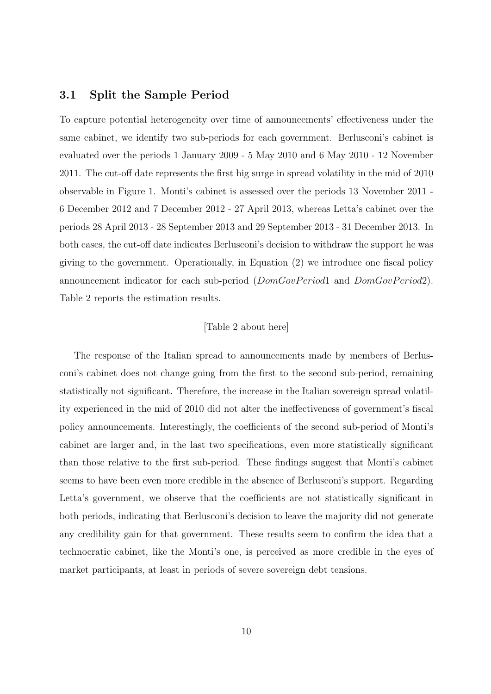#### 3.1 Split the Sample Period

To capture potential heterogeneity over time of announcements' effectiveness under the same cabinet, we identify two sub-periods for each government. Berlusconi's cabinet is evaluated over the periods 1 January 2009 - 5 May 2010 and 6 May 2010 - 12 November 2011. The cut-off date represents the first big surge in spread volatility in the mid of 2010 observable in Figure 1. Monti's cabinet is assessed over the periods 13 November 2011 - 6 December 2012 and 7 December 2012 - 27 April 2013, whereas Letta's cabinet over the periods 28 April 2013 - 28 September 2013 and 29 September 2013 - 31 December 2013. In both cases, the cut-off date indicates Berlusconi's decision to withdraw the support he was giving to the government. Operationally, in Equation (2) we introduce one fiscal policy announcement indicator for each sub-period  $(DomGovPeriod1$  and  $DomGovPeriod2)$ . Table 2 reports the estimation results.

#### [Table 2 about here]

The response of the Italian spread to announcements made by members of Berlusconi's cabinet does not change going from the first to the second sub-period, remaining statistically not significant. Therefore, the increase in the Italian sovereign spread volatility experienced in the mid of 2010 did not alter the ineffectiveness of government's fiscal policy announcements. Interestingly, the coefficients of the second sub-period of Monti's cabinet are larger and, in the last two specifications, even more statistically significant than those relative to the first sub-period. These findings suggest that Monti's cabinet seems to have been even more credible in the absence of Berlusconi's support. Regarding Letta's government, we observe that the coefficients are not statistically significant in both periods, indicating that Berlusconi's decision to leave the majority did not generate any credibility gain for that government. These results seem to confirm the idea that a technocratic cabinet, like the Monti's one, is perceived as more credible in the eyes of market participants, at least in periods of severe sovereign debt tensions.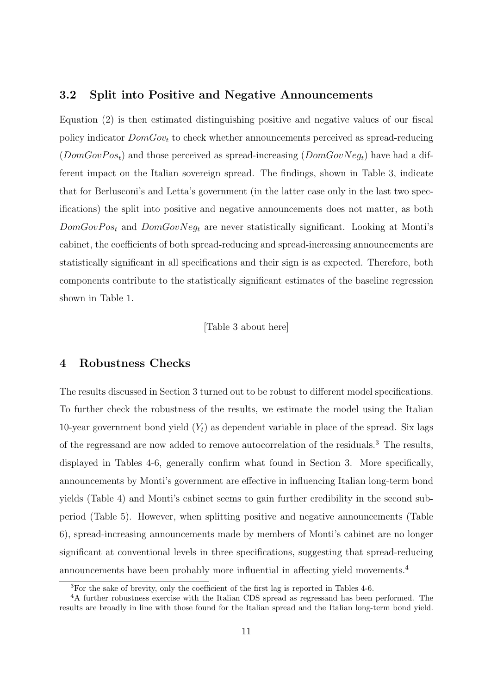#### 3.2 Split into Positive and Negative Announcements

Equation (2) is then estimated distinguishing positive and negative values of our fiscal policy indicator  $DomGov_t$  to check whether announcements perceived as spread-reducing  $(DomGovPos_t)$  and those perceived as spread-increasing  $(DomGovNeg_t)$  have had a different impact on the Italian sovereign spread. The findings, shown in Table 3, indicate that for Berlusconi's and Letta's government (in the latter case only in the last two specifications) the split into positive and negative announcements does not matter, as both  $DomGovPos_t$  and  $DomGovNeg_t$  are never statistically significant. Looking at Monti's cabinet, the coefficients of both spread-reducing and spread-increasing announcements are statistically significant in all specifications and their sign is as expected. Therefore, both components contribute to the statistically significant estimates of the baseline regression shown in Table 1.

[Table 3 about here]

#### 4 Robustness Checks

The results discussed in Section 3 turned out to be robust to different model specifications. To further check the robustness of the results, we estimate the model using the Italian 10-year government bond yield  $(Y_t)$  as dependent variable in place of the spread. Six lags of the regressand are now added to remove autocorrelation of the residuals.<sup>3</sup> The results, displayed in Tables 4-6, generally confirm what found in Section 3. More specifically, announcements by Monti's government are effective in influencing Italian long-term bond yields (Table 4) and Monti's cabinet seems to gain further credibility in the second subperiod (Table 5). However, when splitting positive and negative announcements (Table 6), spread-increasing announcements made by members of Monti's cabinet are no longer significant at conventional levels in three specifications, suggesting that spread-reducing announcements have been probably more influential in affecting yield movements.<sup>4</sup>

<sup>3</sup>For the sake of brevity, only the coefficient of the first lag is reported in Tables 4-6.

<sup>&</sup>lt;sup>4</sup>A further robustness exercise with the Italian CDS spread as regressand has been performed. The results are broadly in line with those found for the Italian spread and the Italian long-term bond yield.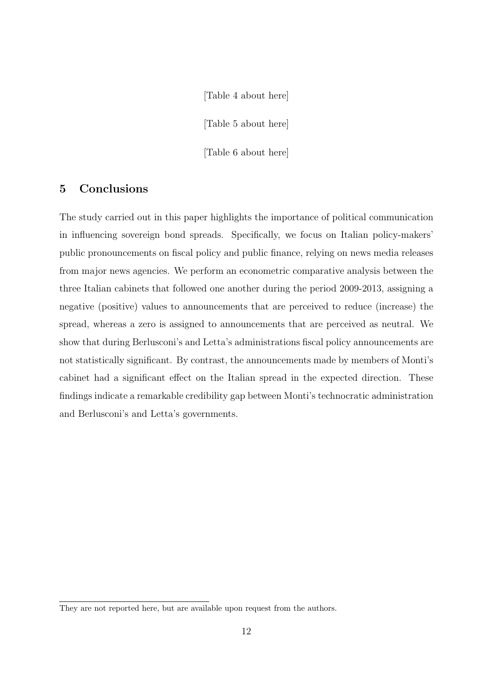[Table 4 about here] [Table 5 about here] [Table 6 about here]

## 5 Conclusions

The study carried out in this paper highlights the importance of political communication in influencing sovereign bond spreads. Specifically, we focus on Italian policy-makers' public pronouncements on fiscal policy and public finance, relying on news media releases from major news agencies. We perform an econometric comparative analysis between the three Italian cabinets that followed one another during the period 2009-2013, assigning a negative (positive) values to announcements that are perceived to reduce (increase) the spread, whereas a zero is assigned to announcements that are perceived as neutral. We show that during Berlusconi's and Letta's administrations fiscal policy announcements are not statistically significant. By contrast, the announcements made by members of Monti's cabinet had a significant effect on the Italian spread in the expected direction. These findings indicate a remarkable credibility gap between Monti's technocratic administration and Berlusconi's and Letta's governments.

They are not reported here, but are available upon request from the authors.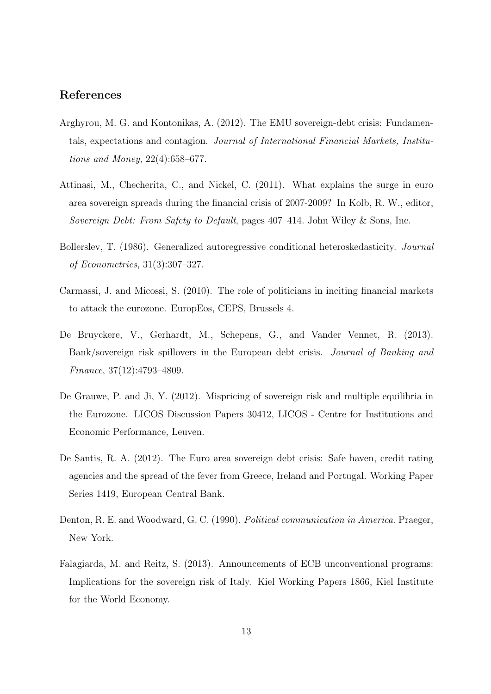## References

- <span id="page-13-1"></span>Arghyrou, M. G. and Kontonikas, A. (2012). The EMU sovereign-debt crisis: Fundamentals, expectations and contagion. Journal of International Financial Markets, Institutions and Money, 22(4):658–677.
- <span id="page-13-0"></span>Attinasi, M., Checherita, C., and Nickel, C. (2011). What explains the surge in euro area sovereign spreads during the financial crisis of 2007-2009? In Kolb, R. W., editor, Sovereign Debt: From Safety to Default, pages 407–414. John Wiley & Sons, Inc.
- <span id="page-13-7"></span>Bollerslev, T. (1986). Generalized autoregressive conditional heteroskedasticity. Journal of Econometrics, 31(3):307–327.
- <span id="page-13-5"></span>Carmassi, J. and Micossi, S. (2010). The role of politicians in inciting financial markets to attack the eurozone. EuropEos, CEPS, Brussels 4.
- <span id="page-13-8"></span>De Bruyckere, V., Gerhardt, M., Schepens, G., and Vander Vennet, R. (2013). Bank/sovereign risk spillovers in the European debt crisis. Journal of Banking and Finance, 37(12):4793–4809.
- <span id="page-13-3"></span>De Grauwe, P. and Ji, Y. (2012). Mispricing of sovereign risk and multiple equilibria in the Eurozone. LICOS Discussion Papers 30412, LICOS - Centre for Institutions and Economic Performance, Leuven.
- <span id="page-13-2"></span>De Santis, R. A. (2012). The Euro area sovereign debt crisis: Safe haven, credit rating agencies and the spread of the fever from Greece, Ireland and Portugal. Working Paper Series 1419, European Central Bank.
- <span id="page-13-4"></span>Denton, R. E. and Woodward, G. C. (1990). Political communication in America. Praeger, New York.
- <span id="page-13-6"></span>Falagiarda, M. and Reitz, S. (2013). Announcements of ECB unconventional programs: Implications for the sovereign risk of Italy. Kiel Working Papers 1866, Kiel Institute for the World Economy.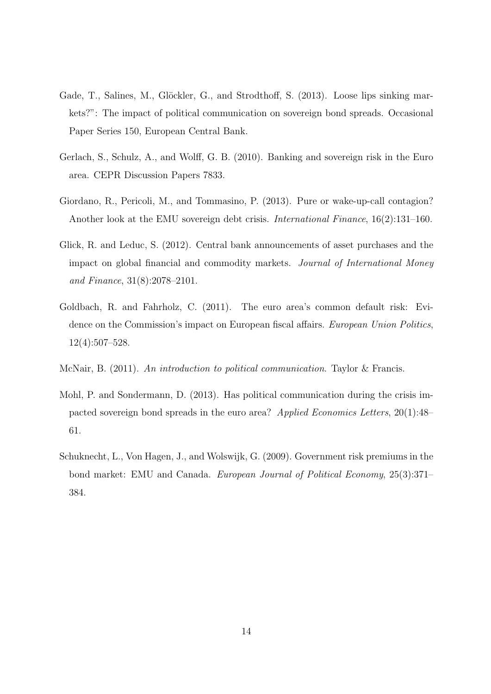- <span id="page-14-4"></span>Gade, T., Salines, M., Glöckler, G., and Strodthoff, S. (2013). Loose lips sinking markets?": The impact of political communication on sovereign bond spreads. Occasional Paper Series 150, European Central Bank.
- <span id="page-14-1"></span>Gerlach, S., Schulz, A., and Wolff, G. B. (2010). Banking and sovereign risk in the Euro area. CEPR Discussion Papers 7833.
- <span id="page-14-2"></span>Giordano, R., Pericoli, M., and Tommasino, P. (2013). Pure or wake-up-call contagion? Another look at the EMU sovereign debt crisis. International Finance, 16(2):131–160.
- <span id="page-14-7"></span>Glick, R. and Leduc, S. (2012). Central bank announcements of asset purchases and the impact on global financial and commodity markets. Journal of International Money and Finance, 31(8):2078–2101.
- <span id="page-14-6"></span>Goldbach, R. and Fahrholz, C. (2011). The euro area's common default risk: Evidence on the Commission's impact on European fiscal affairs. European Union Politics, 12(4):507–528.
- <span id="page-14-3"></span>McNair, B. (2011). An introduction to political communication. Taylor & Francis.
- <span id="page-14-5"></span>Mohl, P. and Sondermann, D. (2013). Has political communication during the crisis impacted sovereign bond spreads in the euro area? Applied Economics Letters, 20(1):48– 61.
- <span id="page-14-0"></span>Schuknecht, L., Von Hagen, J., and Wolswijk, G. (2009). Government risk premiums in the bond market: EMU and Canada. *European Journal of Political Economy*, 25(3):371– 384.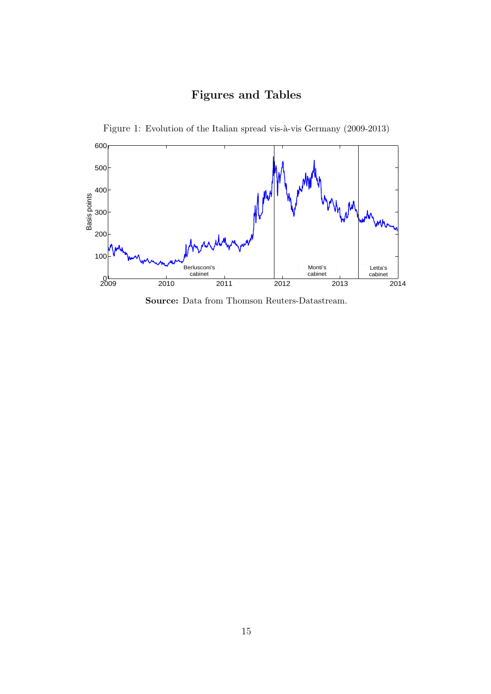## Figures and Tables

Figure 1: Evolution of the Italian spread vis-à-vis Germany (2009-2013)

<span id="page-15-0"></span>

Source: Data from Thomson Reuters-Datastream.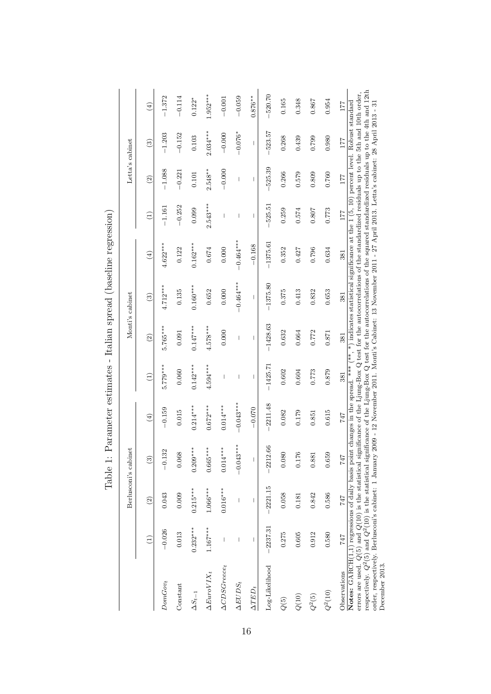|                                                                                                                                                                                                                                                                                                                                                                                                                                                                                                                                                                                                                       |                                |                | Berlusconi's cabinet                                                                                                                                                                                                                                                                                                                                                                                           |                                                                                                                          |                                |                                | Monti's cabinet        |                      |                 | Letta's cabinet |                         |                      |
|-----------------------------------------------------------------------------------------------------------------------------------------------------------------------------------------------------------------------------------------------------------------------------------------------------------------------------------------------------------------------------------------------------------------------------------------------------------------------------------------------------------------------------------------------------------------------------------------------------------------------|--------------------------------|----------------|----------------------------------------------------------------------------------------------------------------------------------------------------------------------------------------------------------------------------------------------------------------------------------------------------------------------------------------------------------------------------------------------------------------|--------------------------------------------------------------------------------------------------------------------------|--------------------------------|--------------------------------|------------------------|----------------------|-----------------|-----------------|-------------------------|----------------------|
|                                                                                                                                                                                                                                                                                                                                                                                                                                                                                                                                                                                                                       | Ξ                              | $\widehat{2}$  | $\widetilde{\mathbb{C}}$                                                                                                                                                                                                                                                                                                                                                                                       | $\left( 4\right)$                                                                                                        | $\widehat{\Xi}$                | $\widehat{2}$                  | $\widehat{\mathbf{e}}$ | $\left( \pm \right)$ | $\widehat{\Xi}$ | $\widehat{2}$   | $\widehat{\mathcal{E}}$ | $\left( \pm \right)$ |
| $DomGov_{t}$                                                                                                                                                                                                                                                                                                                                                                                                                                                                                                                                                                                                          | $-0.026$                       | 0.043          | 32<br>$-0.1$                                                                                                                                                                                                                                                                                                                                                                                                   | $-0.159$                                                                                                                 | $5.779***$                     | 5.765***                       | $4.712***$             | $4.622***$           | $-1.161$        | $-1.088$        | $-1.203$                | $-1.372$             |
| Constant                                                                                                                                                                                                                                                                                                                                                                                                                                                                                                                                                                                                              | 0.013                          | 0.009          | 0.068                                                                                                                                                                                                                                                                                                                                                                                                          | 0.015                                                                                                                    | 0.060                          | 0.091                          | 0.135                  | 0.122                | $-0.252$        | $-0.221$        | $-0.152$                | $-0.114$             |
| $\Delta S_{t-1}$                                                                                                                                                                                                                                                                                                                                                                                                                                                                                                                                                                                                      | $0.232***$                     | $0.215***$     | $0.209***$                                                                                                                                                                                                                                                                                                                                                                                                     | $0.214***$                                                                                                               | $0.142***$                     | $0.147***$                     | $0.160***$             | $0.162***$           | 0.099           | 0.101           | 0.103                   | $0.122*$             |
| $\Delta E$ uro $VIX_t$                                                                                                                                                                                                                                                                                                                                                                                                                                                                                                                                                                                                | $1.167***$                     | $1.066***$     | $0.665***$                                                                                                                                                                                                                                                                                                                                                                                                     | $0.672***$                                                                                                               | $4.594***$                     | $4.578***$                     | 0.652                  | 0.674                | $2.543***$      | $2.548**$       | $2.034***$              | $1.952***$           |
| $\Delta CDSGreeze_t$                                                                                                                                                                                                                                                                                                                                                                                                                                                                                                                                                                                                  | $\begin{array}{c} \end{array}$ | $0.016***$     | $0.014***$                                                                                                                                                                                                                                                                                                                                                                                                     | $0.014***$                                                                                                               | I                              | 0.000                          | 0.000                  | 0.000                | I               | $-0.000$        | $-0.000$                | $-0.001$             |
| $\Delta EUDS_t$                                                                                                                                                                                                                                                                                                                                                                                                                                                                                                                                                                                                       | $\sf I$                        | $\overline{1}$ | $-0.043***$                                                                                                                                                                                                                                                                                                                                                                                                    | $-0.043***$                                                                                                              | $\begin{array}{c} \end{array}$ | $\overline{1}$                 | $-0.464***$            | $-0.464***$          | $\mathsf I$     | 1               | $-0.076*$               | $-0.059$             |
| $\Delta TED_t$                                                                                                                                                                                                                                                                                                                                                                                                                                                                                                                                                                                                        | $\overline{\phantom{a}}$       | I              | $\begin{array}{c} \rule{0pt}{2ex} \rule{0pt}{2ex} \rule{0pt}{2ex} \rule{0pt}{2ex} \rule{0pt}{2ex} \rule{0pt}{2ex} \rule{0pt}{2ex} \rule{0pt}{2ex} \rule{0pt}{2ex} \rule{0pt}{2ex} \rule{0pt}{2ex} \rule{0pt}{2ex} \rule{0pt}{2ex} \rule{0pt}{2ex} \rule{0pt}{2ex} \rule{0pt}{2ex} \rule{0pt}{2ex} \rule{0pt}{2ex} \rule{0pt}{2ex} \rule{0pt}{2ex} \rule{0pt}{2ex} \rule{0pt}{2ex} \rule{0pt}{2ex} \rule{0pt}{$ | $-0.070$                                                                                                                 | I                              | $\begin{array}{c} \end{array}$ | I                      | $-0.168$             | I               | I               | I                       | $0.876**$            |
| Log-Likelihood                                                                                                                                                                                                                                                                                                                                                                                                                                                                                                                                                                                                        | $-2237.31$                     | $-2221.15$     | $-2212.66$                                                                                                                                                                                                                                                                                                                                                                                                     | 2211.48                                                                                                                  | $-1425.71$                     | $-1428.63$                     | $-1375.80$             | $-1375.61$           | $-525.51$       | 525.39          | $-523.57$               | $-520.70$            |
| $Q(\boldsymbol{5})$                                                                                                                                                                                                                                                                                                                                                                                                                                                                                                                                                                                                   | 0.275                          | 0.058          | 0.080                                                                                                                                                                                                                                                                                                                                                                                                          | 0.082                                                                                                                    | 0.602                          | 0.632                          | 0.375                  | 0.352                | 0.259           | 0.266           | 0.268                   | 0.165                |
| $Q(10)$                                                                                                                                                                                                                                                                                                                                                                                                                                                                                                                                                                                                               | 0.605                          | 0.181          | 0.176                                                                                                                                                                                                                                                                                                                                                                                                          | 0.179                                                                                                                    | 0.604                          | 0.664                          | 0.413                  | 0.427                | 0.574           | 0.579           | 0.439                   | 0.348                |
| $Q^2(5)$                                                                                                                                                                                                                                                                                                                                                                                                                                                                                                                                                                                                              | 0.912                          | 0.842          | 0.881                                                                                                                                                                                                                                                                                                                                                                                                          | 0.851                                                                                                                    | 0.773                          | 0.772                          | 0.832                  | 0.796                | 0.807           | 0.809           | 0.799                   | 0.867                |
| $Q^2(10)$                                                                                                                                                                                                                                                                                                                                                                                                                                                                                                                                                                                                             | 0.580                          | 0.586          | 0.659                                                                                                                                                                                                                                                                                                                                                                                                          | 0.615                                                                                                                    | 0.879                          | 0.871                          | 0.653                  | 0.634                | 0.773           | 0.760           | 0.980                   | 0.954                |
| Observations                                                                                                                                                                                                                                                                                                                                                                                                                                                                                                                                                                                                          | 747                            | 747            | 747                                                                                                                                                                                                                                                                                                                                                                                                            | 747                                                                                                                      | 381                            | 381                            | 381                    | 381                  | 177             | 177             | 177                     | 177                  |
| respectively. $Q^2(5)$ and $Q^2(10)$ is the statistical significance of the Ljung-Box Q test for the autocorrelations of the squared standardized residuals up to the 4th and 12th<br>Notes: $GART(1,1)$ regressions of daily basis point changes in the spread. *** (**, *) indicates statistical significance at the 1 (5, 10) percent level. Robust standard<br>order, respectively. Berlusconi's cabinet: 1 January 2009 - 12 November 2011. Monti's Cabinet: 13 November 2011 - 27 April 2013. Letta's cabinet: 28 April 2013 - 31<br>errors are used. $Q(5)$ and $Q(10)$ is the statistical s<br>December 2013. |                                |                |                                                                                                                                                                                                                                                                                                                                                                                                                | ignificance of the Ljung-Box Q test for the autocorrelations of the standardized residuals up to the 5th and 10th order, |                                |                                |                        |                      |                 |                 |                         |                      |

Table 1: Parameter estimates - Italian spread (baseline regression) Table 1: Parameter estimates - Italian spread (baseline regression)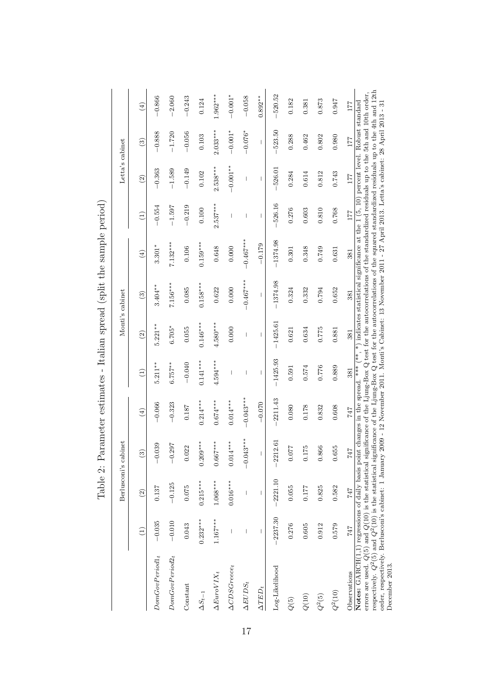|                                                                                                                                                                                                                                                                                                                                                                                                                                                                                                                                                                                                      |                          |                                | Berlusconi's cabinet    |                                |                          |                          | Monti's cabinet          |                              |                          | Letta's cabinet          |                        |                              |
|------------------------------------------------------------------------------------------------------------------------------------------------------------------------------------------------------------------------------------------------------------------------------------------------------------------------------------------------------------------------------------------------------------------------------------------------------------------------------------------------------------------------------------------------------------------------------------------------------|--------------------------|--------------------------------|-------------------------|--------------------------------|--------------------------|--------------------------|--------------------------|------------------------------|--------------------------|--------------------------|------------------------|------------------------------|
|                                                                                                                                                                                                                                                                                                                                                                                                                                                                                                                                                                                                      | Ξ                        | $\widehat{2}$                  | $\widehat{\mathcal{E}}$ | $\textcircled{\scriptsize{4}}$ | $\widehat{\Xi}$          | $\widehat{a}$            | $\widehat{\mathcal{E}}$  | $\left( \frac{1}{2} \right)$ | $\widehat{\Xi}$          | $\odot$                  | $\widehat{\mathbf{S}}$ | $\left( \frac{1}{2} \right)$ |
| $DomGovPeriod1_t$                                                                                                                                                                                                                                                                                                                                                                                                                                                                                                                                                                                    | $-0.035$                 | 0.137                          | $-0.039$                | $-0.066$                       | $5.211***$               | $5.221**$                | $3.404**$                | $3.301*$                     | $-0.554$                 | $-0.363$                 | $-0.888$               | $-0.866$                     |
| $DomGovPeriod2_t$                                                                                                                                                                                                                                                                                                                                                                                                                                                                                                                                                                                    | $-0.010$                 | $-0.125$                       | $-0.297$                | $-0.323$                       | $6.757***$               | $6.705*$                 | 7.156***                 | $7.132***$                   | $-1.597$                 | $-1.589$                 | $-1.720$               | $-2.060$                     |
| Constant                                                                                                                                                                                                                                                                                                                                                                                                                                                                                                                                                                                             | 0.043                    | 0.075                          | 022<br>$\circ$          | 0.187                          | $-0.040$                 | 0.055                    | 0.085                    | 0.106                        | $-0.219$                 | $-0.149$                 | $-0.056$               | $-0.243$                     |
| $\Delta S_{t-1}$                                                                                                                                                                                                                                                                                                                                                                                                                                                                                                                                                                                     | $0.232***$               | $0.215***$                     | $0.209***$              | $0.214***$                     | $0.141***$               | $0.146***$               | $0.158***$               | $0.159***$                   | 0.100                    | 0.102                    | 0.103                  | 0.124                        |
| $\Delta E$ uro $VIX_t$                                                                                                                                                                                                                                                                                                                                                                                                                                                                                                                                                                               | $1.167***$               | $1.068***$                     | $0.667***$              | $0.674***$                     | $4.594***$               | $4.580***$               | 0.622                    | 0.648                        | $2.537***$               | $2.538***$               | $2.033***$             | $1.962***$                   |
| $\Delta CDSGrece_t$                                                                                                                                                                                                                                                                                                                                                                                                                                                                                                                                                                                  |                          | $0.016***$                     | $0.014***$              | $0.014***$                     | I                        | 0.000                    | 0.000                    | 0.000                        |                          | $-0.001**$               | $-0.001*$              | $-0.001*$                    |
| $\Delta EUDS_t$                                                                                                                                                                                                                                                                                                                                                                                                                                                                                                                                                                                      | $\overline{\phantom{a}}$ | $\begin{array}{c} \end{array}$ | $-0.043***$             | $-0.043***$                    | $\overline{\phantom{a}}$ | $\overline{\phantom{a}}$ | $-0.467***$              | $-0.467***$                  | $\overline{\phantom{a}}$ | $\overline{\phantom{a}}$ | $-0.076*$              | $-0.058$                     |
| $\Delta TED_t$                                                                                                                                                                                                                                                                                                                                                                                                                                                                                                                                                                                       |                          |                                | $\mathsf I$             | $-0.070$                       | $\mathsf I$              | $\mathsf I$              | $\overline{\phantom{a}}$ | $-0.179$                     | $\mathsf{I}$             | $\overline{\phantom{a}}$ | $\overline{1}$         | $0.892**$                    |
| Log-Likelihood                                                                                                                                                                                                                                                                                                                                                                                                                                                                                                                                                                                       | $-2237.30$               | $-2221.10$                     | $-2212.61$              | 2211.43                        | $-1425.93$               | $-1425.61$               | $-1374.98$               | $-1374.98$                   | $-526.16$                | $-526.01$                | $-523.50$              | $-520.52$                    |
| ${\cal Q}(5)$                                                                                                                                                                                                                                                                                                                                                                                                                                                                                                                                                                                        | 0.276                    | 0.055                          | <b>LLO</b><br>ö         | 0.080                          | 0.591                    | 0.621                    | 0.324                    | 0.301                        | 0.276                    | 0.284                    | 0.288                  | 0.182                        |
| $Q(10)$                                                                                                                                                                                                                                                                                                                                                                                                                                                                                                                                                                                              | 0.605                    | 0.177                          | 175<br>ö                | 0.178                          | 0.574                    | 0.634                    | 0.332                    | 0.348                        | 0.603                    | 0.614                    | 0.462                  | 0.381                        |
| $Q^2(5)$                                                                                                                                                                                                                                                                                                                                                                                                                                                                                                                                                                                             | 0.912                    | 0.825                          | 866<br>ö                | 0.832                          | 0.776                    | 0.775                    | 0.794                    | 0.749                        | 0.810                    | 0.812                    | 0.802                  | 0.873                        |
| $Q^2(10)$                                                                                                                                                                                                                                                                                                                                                                                                                                                                                                                                                                                            | 0.579                    | 0.582                          | 655<br>$\circ$          | 0.608                          | 0.889                    | 0.881                    | 0.652                    | 0.631                        | 0.768                    | 0.743                    | 0.980                  | 0.947                        |
| Observations                                                                                                                                                                                                                                                                                                                                                                                                                                                                                                                                                                                         | 747                      | 747                            | 747                     | 747                            | 381                      | 381                      | 381                      | 381                          | 177                      | 177                      | 177                    | 177                          |
| errors are used. $Q(5)$ and $Q(10)$ is the statistical significance of the Ljung-Box Q test for the autocorrelations of the standardized residuals up to the 5th and 10th order, respectively. $Q^2(5)$ and $Q^2(10)$ is the<br>Notes: $GARCH(1,1)$ regressions of daily basis point changes in the spread. *** (**, *) indicates statistical significance at the 1 (5, 10) percent level. Robust standard<br>order, respectively. Berlusconi's cabinet: 1 January 2009 - 12 November 2011. Monti's Cabinet: 13 November 2011 - 27 April 2013. Letta's cabinet: 28 April 2013 - 31<br>December 2013. |                          |                                |                         |                                |                          |                          |                          |                              |                          |                          |                        |                              |

Table 2: Parameter estimates - Italian spread (split the sample period) Table 2: Parameter estimates - Italian spread (split the sample period)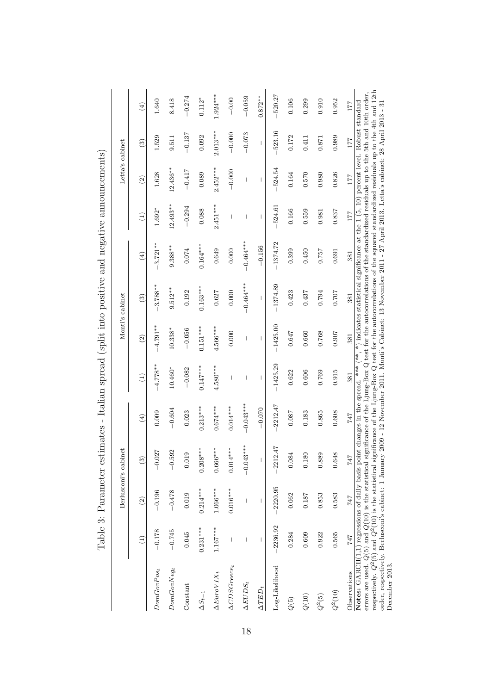|                                                                                                                                                                                                                                                                                                                                                                                                                                                                                                                                                                                                         |            |               | Berlusconi's cabinet     |                                |               |               | Monti's cabinet        |                   |                 | Letta's cabinet |               |                              |
|---------------------------------------------------------------------------------------------------------------------------------------------------------------------------------------------------------------------------------------------------------------------------------------------------------------------------------------------------------------------------------------------------------------------------------------------------------------------------------------------------------------------------------------------------------------------------------------------------------|------------|---------------|--------------------------|--------------------------------|---------------|---------------|------------------------|-------------------|-----------------|-----------------|---------------|------------------------------|
|                                                                                                                                                                                                                                                                                                                                                                                                                                                                                                                                                                                                         |            | $\widehat{2}$ | $\widetilde{\mathbb{S}}$ | $\textcircled{\scriptsize{4}}$ | $\widehat{E}$ | $\widehat{2}$ | $\widehat{\mathbf{c}}$ | $\left( 4\right)$ | $\widehat{\Xi}$ | $\widehat{2}$   | $\widehat{c}$ | $\left( \frac{1}{2} \right)$ |
| $DomGovPos_t$                                                                                                                                                                                                                                                                                                                                                                                                                                                                                                                                                                                           | $-0.178$   | $-0.196$      | $-0.027$                 | 0.009                          | $-4.778**$    | $-4.791**$    | $3.788**$              | $-3.721**$        | $1.692*$        | 1.628           | 1.529         | 1.640                        |
| $DomGovNeg_t$                                                                                                                                                                                                                                                                                                                                                                                                                                                                                                                                                                                           | $-0.745$   | $-0.478$      | 92<br>$-0.5$             | $-0.604$                       | $10.460*$     | $10.338*$     | $9.512**$              | $9.388***$        | $12.493***$     | $12.436**$      | 9.511         | 8.418                        |
| Constant                                                                                                                                                                                                                                                                                                                                                                                                                                                                                                                                                                                                | 0.045      | 0.019         | ග<br>0.01                | 0.023                          | $-0.082$      | $-0.056$      | 0.192                  | 0.074             | $-0.294$        | $-0.417$        | $-0.137$      | $-0.274$                     |
| $\Delta S_{t-1}$                                                                                                                                                                                                                                                                                                                                                                                                                                                                                                                                                                                        | $0.231***$ | $0.214***$    | $0.208***$               | $0.213***$                     | $0.147***$    | $0.151***$    | $0.163***$             | $0.164***$        | 0.088           | 0.089           | 0.092         | $0.112*$                     |
| $\Delta E$ uro $VIX_t$                                                                                                                                                                                                                                                                                                                                                                                                                                                                                                                                                                                  | $1.167***$ | $1.066***$    | $0.666***$               | $0.674***$                     | $4.580***$    | $4.566***$    | 0.627                  | 0.649             | $2.451***$      | $2.452***$      | $2.013***$    | $1.924***$                   |
| $\Delta CDSGreecet$                                                                                                                                                                                                                                                                                                                                                                                                                                                                                                                                                                                     | T          | $0.016***$    | $0.014***$               | $0.014***$                     |               | 0.000         | 0.000                  | 0.000             |                 | $-0.000$        | $-0.000$      | $-0.00$                      |
| $\Delta EUDS_t$                                                                                                                                                                                                                                                                                                                                                                                                                                                                                                                                                                                         |            |               | $-0.043***$              | $-0.043***$                    | I             |               | $-0.464***$            | $-0.464***$       |                 | I               | $-0.073$      | $-0.059$                     |
| $\Delta TED_t$                                                                                                                                                                                                                                                                                                                                                                                                                                                                                                                                                                                          |            |               |                          | $-0.070$                       |               |               |                        | $-0.156$          |                 |                 |               | $0.872**$                    |
| Log-Likelihood                                                                                                                                                                                                                                                                                                                                                                                                                                                                                                                                                                                          | $-2236.92$ | $-2220.95$    | $-2212.47$               | 2212.47                        | $-1425.29$    | $-1425.00$    | $-1374.89$             | $-1374.72$        | 524.61          | 524.54          | $-523.16$     | $-520.27$                    |
| $Q(\boldsymbol{5})$                                                                                                                                                                                                                                                                                                                                                                                                                                                                                                                                                                                     | 0.284      | 0.062         | 0.084                    | 0.087                          | 0.622         | 0.647         | 0.423                  | 0.399             | 0.166           | 0.164           | 0.172         | 0.106                        |
| $Q(10)$                                                                                                                                                                                                                                                                                                                                                                                                                                                                                                                                                                                                 | 0.609      | 0.187         | 0.180                    | 0.183                          | 0.606         | 0.660         | 0.437                  | 0.450             | 0.559           | 0.570           | 0.411         | 0.299                        |
| $Q^2(5)$                                                                                                                                                                                                                                                                                                                                                                                                                                                                                                                                                                                                | 0.922      | 0.853         | 0.889                    | 0.865                          | 0.769         | 0.768         | 0.794                  | 0.757             | 0.981           | 0.980           | 0.871         | 0.910                        |
| $Q^2(10)$                                                                                                                                                                                                                                                                                                                                                                                                                                                                                                                                                                                               | 0.565      | 0.583         | œ<br>0.64                | 0.608                          | 0.915         | 0.907         | 0.707                  | 0.691             | 0.837           | 0.826           | 0.989         | 0.952                        |
| Observations                                                                                                                                                                                                                                                                                                                                                                                                                                                                                                                                                                                            | 747        | 747           | 747                      | 747                            | 381           | 381           | 381                    | 381               | 177             | $177\,$         | 177           | 177                          |
| errors are used. $Q(5)$ and $Q(10)$ is the statistical significance of the Ljung-Box Q test for the autocorrelations of the standardized residuals up to the 5th and 10th order,<br>respectively. $Q^2(5)$ and $Q^2(10)$ is the<br>Notes: $GARCH(1,1)$ regressions of daily basis point changes in the spread. *** (**, *) indicates statistical significance at the 1 (5, 10) percent level. Robust standard<br>order, respectively. Berlusconi's cabinet: 1 January 2009 - 12 November 2011. Monti's Cabinet: 13 November 2011 - 27 April 2013. Letta's cabinet: 28 April 2013 - 31<br>December 2013. |            |               |                          |                                |               |               |                        |                   |                 |                 |               |                              |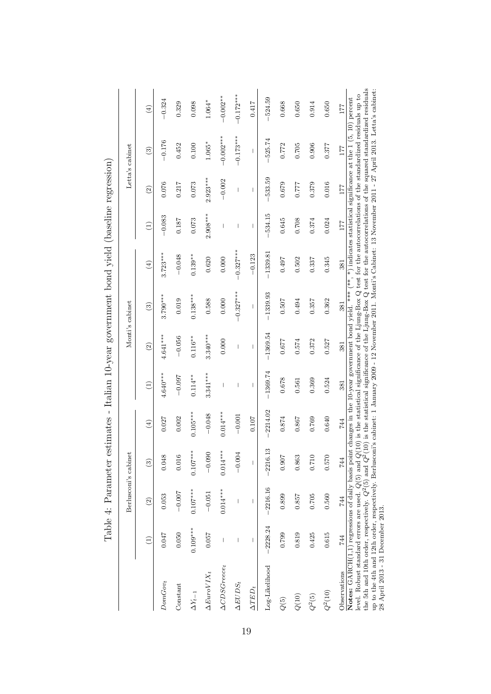|                                                                                                                                                                                                                                                                                                                                                                                                                                                                                                                                                                                                                                           |            | Berlusconi's cabinet |                                |                                                          |                          |                          | Monti's cabinet                                                                                                               |                            |                          |                          | Letta's cabinet          |               |
|-------------------------------------------------------------------------------------------------------------------------------------------------------------------------------------------------------------------------------------------------------------------------------------------------------------------------------------------------------------------------------------------------------------------------------------------------------------------------------------------------------------------------------------------------------------------------------------------------------------------------------------------|------------|----------------------|--------------------------------|----------------------------------------------------------|--------------------------|--------------------------|-------------------------------------------------------------------------------------------------------------------------------|----------------------------|--------------------------|--------------------------|--------------------------|---------------|
|                                                                                                                                                                                                                                                                                                                                                                                                                                                                                                                                                                                                                                           | Ξ          | $\circled{2}$        | $\widehat{\mathcal{E}}$        | $\left( \begin{smallmatrix} 4 \end{smallmatrix} \right)$ | Э                        | $\widehat{\mathfrak{D}}$ | ි)                                                                                                                            | $\left(\frac{1}{2}\right)$ | $\widehat{\Xi}$          | $\widehat{2}$            | $\widehat{c}$            | $\widehat{E}$ |
| $DomGov_t$                                                                                                                                                                                                                                                                                                                                                                                                                                                                                                                                                                                                                                | 0.047      | 0.053                | 0.048                          | 0.027                                                    | $4.640***$               | $4.641***$               | $3.790***$                                                                                                                    | $3.723***$                 | $-0.083$                 | 0.076                    | $-0.176$                 | $-0.324$      |
| Constant                                                                                                                                                                                                                                                                                                                                                                                                                                                                                                                                                                                                                                  | 0.050      | $-0.007$             | 0.016                          | 0.002                                                    | $-0.097$                 | $-0.056$                 | 0.019                                                                                                                         | $-0.048$                   | 0.187                    | 0.217                    | 0.452                    | 0.329         |
| $\Delta Y_{t-1}$                                                                                                                                                                                                                                                                                                                                                                                                                                                                                                                                                                                                                          | $0.109***$ | $0.107***$           | $0.107***$                     | $0.105***$                                               | $0.114***$               | $0.116**$                | $0.138***$                                                                                                                    | $0.139**$                  | 0.073                    | 0.073                    | 0.100                    | 0.098         |
| $\Delta E$ uro $VIX_t$                                                                                                                                                                                                                                                                                                                                                                                                                                                                                                                                                                                                                    | 0.057      | $-0.051$             | $-0.090$                       | $-0.048$                                                 | $3.341***$               | $3.340***$               | 0.588                                                                                                                         | 0.620                      | $2.908***$               | $2.923***$               | $1.065*$                 | 1.064*        |
| $\Delta CDSGreecet$                                                                                                                                                                                                                                                                                                                                                                                                                                                                                                                                                                                                                       |            | $0.014***$           | $0.014***$                     | $0.014***$                                               |                          | 0.000                    | 0.000                                                                                                                         | 0.000                      |                          | $-0.002$                 | $-0.002***$              | $-0.002**$    |
| $\Delta EUDS_t$                                                                                                                                                                                                                                                                                                                                                                                                                                                                                                                                                                                                                           |            |                      | $-0.004$                       | $-0.001$                                                 | I                        | $\overline{\phantom{a}}$ | $-0.327***$                                                                                                                   | $-0.327***$                | ı                        | 1                        | $-0.173***$              | $-0.172***$   |
| $\Delta TED_t$                                                                                                                                                                                                                                                                                                                                                                                                                                                                                                                                                                                                                            | ı          |                      | $\begin{array}{c} \end{array}$ | 0.107                                                    | $\overline{\phantom{a}}$ | $\overline{\phantom{a}}$ | $\overline{\phantom{a}}$                                                                                                      | $-0.123$                   | $\overline{\phantom{a}}$ | $\overline{\phantom{a}}$ | $\overline{\phantom{a}}$ | 0.417         |
| Log-Likelihood                                                                                                                                                                                                                                                                                                                                                                                                                                                                                                                                                                                                                            | $-2228.24$ | $-2216.16$           | $-2216.13$                     | $-2214.02$                                               | $-1369.74$               | $-1369.54$               | $-1339.93$                                                                                                                    | $-1339.81$                 | $-534.15$                | $-533.59$                | 525.74                   | $-524.59$     |
| ${\cal Q}(5)$                                                                                                                                                                                                                                                                                                                                                                                                                                                                                                                                                                                                                             | 0.799      | 0.899                | 0.907                          | 0.874                                                    | 0.678                    | 0.677                    | 0.507                                                                                                                         | 0.497                      | 0.645                    | 0.679                    | 0.772                    | 0.668         |
| $Q(10)$                                                                                                                                                                                                                                                                                                                                                                                                                                                                                                                                                                                                                                   | 0.819      | 0.857                | 0.863                          | 0.867                                                    | 0.561                    | 0.574                    | 0.494                                                                                                                         | 0.502                      | 0.708                    | 0.777                    | 0.705                    | 0.650         |
| $Q^2(5)$                                                                                                                                                                                                                                                                                                                                                                                                                                                                                                                                                                                                                                  | 0.425      | 0.705                | 0.710                          | 0.769                                                    | 0.369                    | 0.372                    | 0.357                                                                                                                         | 0.337                      | 0.374                    | 0.379                    | 0.906                    | 0.914         |
| $Q^2(10)$                                                                                                                                                                                                                                                                                                                                                                                                                                                                                                                                                                                                                                 | 0.615      | 0.560                | 0.570                          | 0.640                                                    | 0.524                    | 0.527                    | 0.362                                                                                                                         | 0.345                      | 0.024                    | 0.016                    | 0.377                    | 0.650         |
| Observations                                                                                                                                                                                                                                                                                                                                                                                                                                                                                                                                                                                                                              | 744        | 744                  | 744                            | 744                                                      | 381                      | 381                      | 381                                                                                                                           | 381                        | 177                      | 177                      | 177                      | 177           |
| up to the 4th and 12th order, respectively. Berlusconi's cabinet: 1 January 2009 - 12 November 2011. Monti's Cabinet: 13 November 2011 - 27 April 2013. Letta's cabinet:<br>level. Robust standard errors are used. $Q(5)$ and $Q(10)$ is the statistical significance of the Ljung-Box Q test for the autocorrelations of the standardized residuals up to<br>Notes: $GART(1,1)$ regressions of daily basis point changes in the 10-year government bond yield. *** (**, *) indicates statistical significance at the 1 (5, 10) percent<br>the 5th and 10th order, respectively. $Q^2(5)$ and $Q^2$<br>28 April 2013 - 31 December 2013. |            |                      |                                |                                                          |                          |                          | $(10)$ is the statistical significance of the Ljung-Box Q test for the autocorrelations of the squared standardized residuals |                            |                          |                          |                          |               |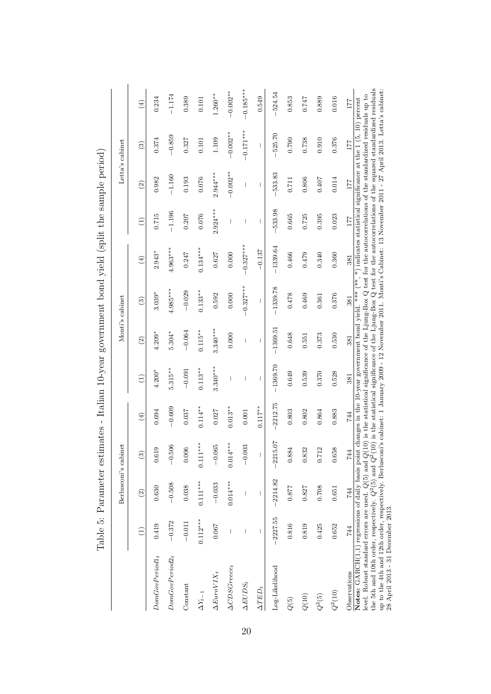|                                                                                                                                                                                                                                                                                                                                                                                                                                                                                                                         |            |               | Berlusconi's cabinet |                                |                          |               | Monti's cabinet                                                                                                                                                                                                                                   |                              |                 |               | Letta's cabinet |               |
|-------------------------------------------------------------------------------------------------------------------------------------------------------------------------------------------------------------------------------------------------------------------------------------------------------------------------------------------------------------------------------------------------------------------------------------------------------------------------------------------------------------------------|------------|---------------|----------------------|--------------------------------|--------------------------|---------------|---------------------------------------------------------------------------------------------------------------------------------------------------------------------------------------------------------------------------------------------------|------------------------------|-----------------|---------------|-----------------|---------------|
|                                                                                                                                                                                                                                                                                                                                                                                                                                                                                                                         | Ξ          | $\widehat{2}$ | $\widehat{c}$        | $\textcircled{\scriptsize{4}}$ | $\widehat{\Xi}$          | $\widehat{2}$ | $\widehat{c}$                                                                                                                                                                                                                                     | $\left( \frac{4}{2} \right)$ | $\widehat{\Xi}$ | $\widehat{2}$ | $\widehat{c}$   | $\widehat{E}$ |
| $\label{eq:domGovPeriod1} Dom \textit{GovPeriod1}_t$                                                                                                                                                                                                                                                                                                                                                                                                                                                                    | 0.419      | 0.630         | 0.619                | 0.694                          | $4.200*$                 | $4.209*$      | $3.039*$                                                                                                                                                                                                                                          | $2.943*$                     | 0.715           | 0.982         | 0.374           | 0.234         |
| $DomGovPeriod2_t$                                                                                                                                                                                                                                                                                                                                                                                                                                                                                                       | $-0.372$   | $-0.508$      | $-0.506$             | $-0.609$                       | $5.315***$               | $5.304*$      | $4.985***$                                                                                                                                                                                                                                        | $4.963***$                   | $-1.196$        | $-1.160$      | $-0.859$        | $-1.174$      |
| Constant                                                                                                                                                                                                                                                                                                                                                                                                                                                                                                                | $-0.011$   | 0.038         | 0.006                | 0.037                          | $-0.091$                 | $-0.064$      | $-0.029$                                                                                                                                                                                                                                          | 0.247                        | 0.207           | 0.193         | 0.327           | 0.389         |
| $\Delta Y_{t-1}$                                                                                                                                                                                                                                                                                                                                                                                                                                                                                                        | $0.112***$ | $0.111***$    | $*$<br>$0.111**$     | $0.114**$                      | $0.113**$                | $0.115**$     | $0.133**$                                                                                                                                                                                                                                         | $0.134***$                   | 0.076           | 0.076         | 0.101           | 0.101         |
| $\Delta E$ uro $VIX_t$                                                                                                                                                                                                                                                                                                                                                                                                                                                                                                  | 0.067      | $-0.033$      | $-0.065$             | 0.027                          | $3.340***$               | $3.340***$    | 0.592                                                                                                                                                                                                                                             | 0.627                        | $2.924***$      | $2.944***$    | 1.109           | $1.260**$     |
| $\Delta CDSGreec_t$                                                                                                                                                                                                                                                                                                                                                                                                                                                                                                     |            | $0.014***$    | $0.014***$           | $0.013**$                      |                          | 0.000         | 0.000                                                                                                                                                                                                                                             | 0.000                        |                 | $-0.002**$    | $-0.002**$      | $-0.002**$    |
| $\Delta EUDS_t$                                                                                                                                                                                                                                                                                                                                                                                                                                                                                                         |            |               | $-0.003$             | 0.001                          | $\overline{\phantom{a}}$ |               | $-0.327***$                                                                                                                                                                                                                                       | $-0.327***$                  | ı               |               | $-0.171***$     | $-0.185***$   |
| $\Delta TED_t$                                                                                                                                                                                                                                                                                                                                                                                                                                                                                                          |            | I             | I                    | $0.117***$                     | L                        | L             | L                                                                                                                                                                                                                                                 | $-0.137$                     | $\mathsf{I}$    | L             | L               | 0.549         |
| Log-Likelihood                                                                                                                                                                                                                                                                                                                                                                                                                                                                                                          | $-2227.55$ | $-2214.82$    | $-2215.07$           | 2212.75                        | $-1369.70$               | $-1369.51$    | $-1339.78$                                                                                                                                                                                                                                        | $-1339.64$                   | 533.98          | 533.83        | 525.70          | $-524.54$     |
| Q(5)                                                                                                                                                                                                                                                                                                                                                                                                                                                                                                                    | 0.816      | 0.877         | 0.884                | 0.803                          | 0.649                    | 0.648         | 0.478                                                                                                                                                                                                                                             | 0.466                        | 0.665           | 0.711         | 0.790           | 0.853         |
| ${\cal Q}(10)$                                                                                                                                                                                                                                                                                                                                                                                                                                                                                                          | 0.819      | 0.827         | 0.832                | 0.802                          | 0.539                    | 0.551         | 0.469                                                                                                                                                                                                                                             | 0.479                        | 0.725           | 0.806         | 0.738           | 747           |
| $Q^2(5)$                                                                                                                                                                                                                                                                                                                                                                                                                                                                                                                | 0.425      | 0.708         | 0.712                | 0.864                          | 0.370                    | 0.373         | 0.361                                                                                                                                                                                                                                             | 0.340                        | 0.395           | 0.407         | 0.910           | 0.889         |
| $Q^2(10)$                                                                                                                                                                                                                                                                                                                                                                                                                                                                                                               | 0.652      | 0.651         | 0.658                | 0.883                          | 0.528                    | 0.530         | 0.376                                                                                                                                                                                                                                             | 0.360                        | 0.023           | 0.014         | 0.376           | 0.016         |
| Observations                                                                                                                                                                                                                                                                                                                                                                                                                                                                                                            | 744        | 744           | 744                  | 744                            | 381                      | 381           | 381                                                                                                                                                                                                                                               | 381                          | $177\,$         | 177           | 177             | 177           |
| the 5th and 10th order, respectively. $Q^2(5)$ and $Q^2(10)$ is the statistical significance of the Ljung-Box $Q$ test for the autocorrelations of the squared standardized residuals<br>up to the 4th and 12th order, respectively. Berlusconi's cabinet: 1 January 2009 - 12 November 2011. Monti's Cabinet: 13 November 2011 - 27 April 2013. Letta's cabinet:<br>Notes: GARCH(1,1) regressions of daily basis point<br>level. Robust standard errors are used. $Q(5)$ and $Q($<br>28 April 2013 - 31 December 2013. |            |               |                      |                                |                          |               | 10) is the statistical significance of the Ljung-Box Q test for the autocorrelations of the standardized residuals up to<br>changes in the 10-year government bond yield. *** (**, *) indicates statistical significance at the 1 (5, 10) percent |                              |                 |               |                 |               |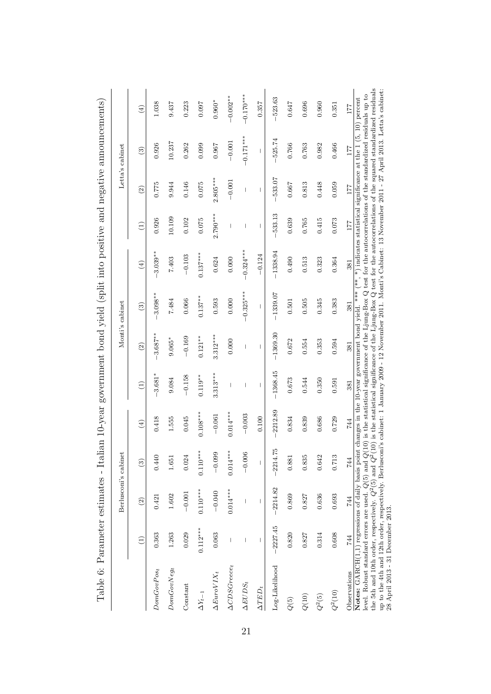|                                                                                                                                                                                                                                                                                                                                                                                                                                                                                                                                                                                                                                           |            | Berlusconi's cabinet |                          |                              |                          |                          | Monti's cabinet                                                                                                               |                                |                 |                          | Letta's cabinet |               |
|-------------------------------------------------------------------------------------------------------------------------------------------------------------------------------------------------------------------------------------------------------------------------------------------------------------------------------------------------------------------------------------------------------------------------------------------------------------------------------------------------------------------------------------------------------------------------------------------------------------------------------------------|------------|----------------------|--------------------------|------------------------------|--------------------------|--------------------------|-------------------------------------------------------------------------------------------------------------------------------|--------------------------------|-----------------|--------------------------|-----------------|---------------|
|                                                                                                                                                                                                                                                                                                                                                                                                                                                                                                                                                                                                                                           | Ξ          | $\widehat{2}$        | $\widehat{c}$            | $\left( \frac{4}{2} \right)$ | $\widehat{\Xi}$          | $\widehat{c}$            | $\widehat{a}$                                                                                                                 | $\textcircled{\scriptsize{4}}$ | $\widehat{\Xi}$ | $\widehat{\Omega}$       | $\widehat{c}$   | $\widehat{E}$ |
| $DomGovPos_t$                                                                                                                                                                                                                                                                                                                                                                                                                                                                                                                                                                                                                             | 0.363      | 0.421                | 0.440                    | 0.418                        | $-3.681*$                | $-3.687***$              | $3.098**$                                                                                                                     | $3.039**$                      | 0.926           | 0.775                    | 0.926           | 1.038         |
| $DomGovNeg_t$                                                                                                                                                                                                                                                                                                                                                                                                                                                                                                                                                                                                                             | 1.263      | 1.602                | 1.651                    | 1.555                        | 9.084                    | $9.065*$                 | 7.484                                                                                                                         | 7.403                          | 10.109          | 9.944                    | 10.237          | 9.437         |
| Constant                                                                                                                                                                                                                                                                                                                                                                                                                                                                                                                                                                                                                                  | 0.029      | $-0.001$             | 0.024                    | 0.045                        | $-0.158$                 | $-0.169$                 | 0.066                                                                                                                         | $-0.103$                       | 0.102           | 0.146                    | 0.262           | 0.223         |
| $\Delta Y_{t-1}$                                                                                                                                                                                                                                                                                                                                                                                                                                                                                                                                                                                                                          | $0.112***$ | $0.110***$           | $0.110***$               | $0.108***$                   | $0.119**$                | $0.121***$               | $0.137***$                                                                                                                    | $0.137***$                     | 0.075           | 0.075                    | 0.099           | 0.097         |
| $\Delta E$ uro $VIX_t$                                                                                                                                                                                                                                                                                                                                                                                                                                                                                                                                                                                                                    | 0.063      | $-0.040$             | $-0.099$                 | $-0.061$                     | $3.313***$               | $3.312***$               | 0.593                                                                                                                         | 0.624                          | $2.790***$      | $2.805***$               | 0.967           | $0.960*$      |
| $\Delta CDSGreecet$                                                                                                                                                                                                                                                                                                                                                                                                                                                                                                                                                                                                                       |            | $0.014***$           | $0.014***$               | $0.014***$                   |                          | 0.000                    | 0.000                                                                                                                         | 0.000                          |                 | $-0.001$                 | $-0.001$        | $-0.002**$    |
| $\Delta EUDS_t$                                                                                                                                                                                                                                                                                                                                                                                                                                                                                                                                                                                                                           |            |                      | $-0.006$                 | $-0.003$                     | 1                        | 1                        | $-0.325***$                                                                                                                   | $-0.324***$                    | I               | $\overline{\phantom{a}}$ | $-0.171***$     | $-0.170***$   |
| $\Delta TED_t$                                                                                                                                                                                                                                                                                                                                                                                                                                                                                                                                                                                                                            |            |                      | $\overline{\phantom{a}}$ | 0.100                        | $\overline{\phantom{a}}$ | $\overline{\phantom{a}}$ | I                                                                                                                             | $-0.124$                       | $\overline{1}$  | 1                        |                 | 0.357         |
| Log-Likelihood                                                                                                                                                                                                                                                                                                                                                                                                                                                                                                                                                                                                                            | $-2227.45$ | $-2214.82$           | $-2214.75$               | 2212.89                      | $-1368.45$               | $-1369.30$               | $-1339.07$                                                                                                                    | $-1338.94$                     | 533.13          | -533.07                  | 525.74          | 523.63        |
| ${\cal Q}(5)$                                                                                                                                                                                                                                                                                                                                                                                                                                                                                                                                                                                                                             | 0.820      | 0.869                | 0.881                    | 0.834                        | 0.673                    | 0.672                    | 0.501                                                                                                                         | 0.490                          | 0.639           | 0.667                    | 0.766           | 0.647         |
| $Q(10)$                                                                                                                                                                                                                                                                                                                                                                                                                                                                                                                                                                                                                                   | 0.827      | 0.827                | 0.835                    | 0.839                        | 0.544                    | 0.554                    | 0.505                                                                                                                         | 0.513                          | 0.765           | 0.813                    | 0.763           | 0.696         |
| $Q^2(5)$                                                                                                                                                                                                                                                                                                                                                                                                                                                                                                                                                                                                                                  | 0.314      | 0.636                | 0.642                    | 0.686                        | 0.350                    | 0.353                    | 0.345                                                                                                                         | 0.323                          | 0.415           | 0.448                    | 0.982           | 0.960         |
| $Q^2(10)$                                                                                                                                                                                                                                                                                                                                                                                                                                                                                                                                                                                                                                 | 0.608      | 0.693                | 0.713                    | 0.729                        | 0.591                    | 0.594                    | 0.383                                                                                                                         | 0.364                          | 0.073           | 0.059                    | 0.466           | 0.351         |
| Observations                                                                                                                                                                                                                                                                                                                                                                                                                                                                                                                                                                                                                              | 744        | 744                  | 744                      | 744                          | 381                      | 381                      | 381                                                                                                                           | 381                            | 177             | 177                      | 177             | 177           |
| up to the 4th and 12th order, respectively. Berlusconi's cabinet: 1 January 2009 - 12 November 2011. Monti's Cabinet: 13 November 2011 - 27 April 2013. Letta's cabinet<br>level. Robust standard errors are used. $Q(5)$ and $Q(10)$ is the statistical significance of the Ljung-Box Q test for the autocorrelations of the standardized residuals up to<br>Notes: $GARCH(1,1)$ regressions of daily basis point changes in the 10-year government bond yield. *** (**, *) indicates statistical significance at the 1 (5, 10) percent<br>the 5th and 10th order, respectively. $Q^2(5)$ and $Q^2$<br>28 April 2013 - 31 December 2013. |            |                      |                          |                              |                          |                          | $(10)$ is the statistical significance of the Ljung-Box Q test for the autocorrelations of the squared standardized residuals |                                |                 |                          |                 |               |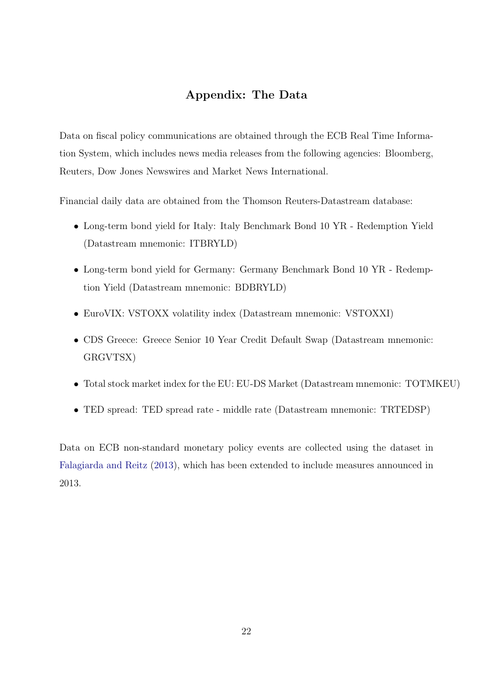## Appendix: The Data

Data on fiscal policy communications are obtained through the ECB Real Time Information System, which includes news media releases from the following agencies: Bloomberg, Reuters, Dow Jones Newswires and Market News International.

Financial daily data are obtained from the Thomson Reuters-Datastream database:

- Long-term bond yield for Italy: Italy Benchmark Bond 10 YR Redemption Yield (Datastream mnemonic: ITBRYLD)
- Long-term bond yield for Germany: Germany Benchmark Bond 10 YR Redemption Yield (Datastream mnemonic: BDBRYLD)
- EuroVIX: VSTOXX volatility index (Datastream mnemonic: VSTOXXI)
- CDS Greece: Greece Senior 10 Year Credit Default Swap (Datastream mnemonic: GRGVTSX)
- Total stock market index for the EU: EU-DS Market (Datastream mnemonic: TOTMKEU)
- TED spread: TED spread rate middle rate (Datastream mnemonic: TRTEDSP)

Data on ECB non-standard monetary policy events are collected using the dataset in [Falagiarda and Reitz](#page-13-6) [\(2013\)](#page-13-6), which has been extended to include measures announced in 2013.